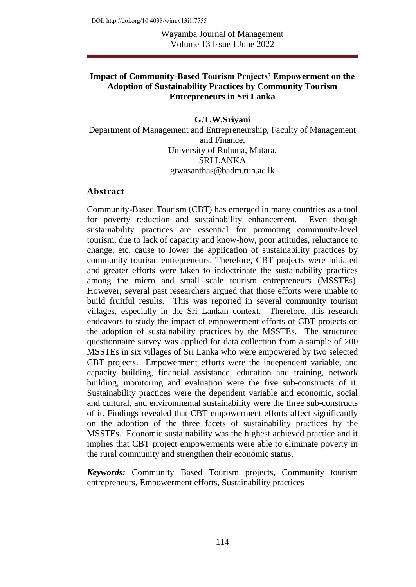Wayamba Journal of Management Volume 13 Issue I June 2022

### **Impact of Community-Based Tourism Projects' Empowerment on the Adoption of Sustainability Practices by Community Tourism Entrepreneurs in Sri Lanka**

**G.T.W.Sriyani**  Department of Management and Entrepreneurship, Faculty of Management and Finance, University of Ruhuna, Matara, SRI LANKA gtwasanthas@badm.ruh.ac.lk

#### **Abstract**

Community-Based Tourism (CBT) has emerged in many countries as a tool for poverty reduction and sustainability enhancement. Even though sustainability practices are essential for promoting community-level tourism, due to lack of capacity and know-how, poor attitudes, reluctance to change, etc. cause to lower the application of sustainability practices by community tourism entrepreneurs. Therefore, CBT projects were initiated and greater efforts were taken to indoctrinate the sustainability practices among the micro and small scale tourism entrepreneurs (MSSTEs). However, several past researchers argued that those efforts were unable to build fruitful results. This was reported in several community tourism villages, especially in the Sri Lankan context. Therefore, this research endeavors to study the impact of empowerment efforts of CBT projects on the adoption of sustainability practices by the MSSTEs. The structured questionnaire survey was applied for data collection from a sample of 200 MSSTEs in six villages of Sri Lanka who were empowered by two selected CBT projects. Empowerment efforts were the independent variable, and capacity building, financial assistance, education and training, network building, monitoring and evaluation were the five sub-constructs of it. Sustainability practices were the dependent variable and economic, social and cultural, and environmental sustainability were the three sub-constructs of it. Findings revealed that CBT empowerment efforts affect significantly on the adoption of the three facets of sustainability practices by the MSSTEs. Economic sustainability was the highest achieved practice and it implies that CBT project empowerments were able to eliminate poverty in the rural community and strengthen their economic status.

*Keywords:* Community Based Tourism projects, Community tourism entrepreneurs, Empowerment efforts, Sustainability practices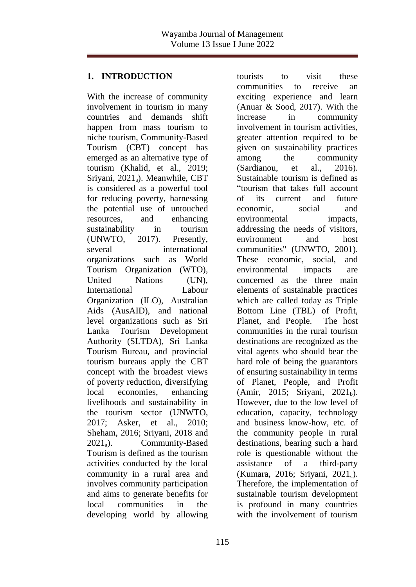# **1. INTRODUCTION**

With the increase of community involvement in tourism in many countries and demands shift happen from mass tourism to niche tourism, Community-Based Tourism (CBT) concept has emerged as an alternative type of tourism (Khalid, et al., 2019; Sriyani, 2021<sub>a</sub>). Meanwhile, CBT is considered as a powerful tool for reducing poverty, harnessing the potential use of untouched resources, and enhancing sustainability in tourism (UNWTO, 2017). Presently, several international organizations such as World Tourism Organization (WTO), United Nations (UN), International Labour Organization (ILO), Australian Aids (AusAID), and national level organizations such as Sri Lanka Tourism Development Authority (SLTDA), Sri Lanka Tourism Bureau, and provincial tourism bureaus apply the CBT concept with the broadest views of poverty reduction, diversifying local economies, enhancing livelihoods and sustainability in the tourism sector (UNWTO, 2017; Asker, et al., 2010; Sheham, 2016; Sriyani, 2018 and  $2021_a$ ). Community-Based Tourism is defined as the tourism activities conducted by the local community in a rural area and involves community participation and aims to generate benefits for local communities in the developing world by allowing

tourists to visit these communities to receive an exciting experience and learn (Anuar & Sood, 2017). With the increase in community involvement in tourism activities, greater attention required to be given on sustainability practices among the community (Sardianou, et al., 2016). Sustainable tourism is defined as "tourism that takes full account of its current and future economic, social and environmental impacts, addressing the needs of visitors, environment and host communities" (UNWTO, 2001). These economic, social, and environmental impacts are concerned as the three main elements of sustainable practices which are called today as Triple Bottom Line (TBL) of Profit, Planet, and People. The host communities in the rural tourism destinations are recognized as the vital agents who should bear the hard role of being the guarantors of ensuring sustainability in terms of Planet, People, and Profit (Amir, 2015; Sriyani, 2021b). However, due to the low level of education, capacity, technology and business know-how, etc. of the community people in rural destinations, bearing such a hard role is questionable without the assistance of a third-party (Kumara, 2016; Sriyani, 2021a). Therefore, the implementation of sustainable tourism development is profound in many countries with the involvement of tourism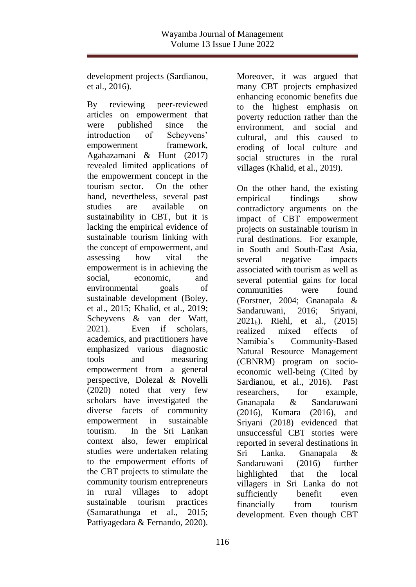development projects (Sardianou, et al., 2016).

By reviewing peer-reviewed articles on empowerment that were published since the introduction of Scheyvens' empowerment framework. Agahazamani & Hunt (2017) revealed limited applications of the empowerment concept in the tourism sector. On the other hand, nevertheless, several past studies are available on sustainability in CBT, but it is lacking the empirical evidence of sustainable tourism linking with the concept of empowerment, and assessing how vital the empowerment is in achieving the social economic and environmental goals of sustainable development (Boley, et al., 2015; Khalid, et al., 2019; Scheyvens & van der Watt, 2021). Even if scholars, academics, and practitioners have emphasized various diagnostic tools and measuring empowerment from a general perspective, Dolezal & Novelli (2020) noted that very few scholars have investigated the diverse facets of community empowerment in sustainable tourism. In the Sri Lankan context also, fewer empirical studies were undertaken relating to the empowerment efforts of the CBT projects to stimulate the community tourism entrepreneurs in rural villages to adopt sustainable tourism practices (Samarathunga et al., 2015; Pattiyagedara & Fernando, 2020).

Moreover, it was argued that many CBT projects emphasized enhancing economic benefits due to the highest emphasis on poverty reduction rather than the environment, and social and cultural, and this caused to eroding of local culture and social structures in the rural villages (Khalid, et al., 2019).

On the other hand, the existing empirical findings show contradictory arguments on the impact of CBT empowerment projects on sustainable tourism in rural destinations. For example, in South and South-East Asia, several negative impacts associated with tourism as well as several potential gains for local communities were found (Forstner, 2004; Gnanapala & Sandaruwani, 2016; Sriyani,  $2021<sub>b</sub>$ ). Riehl, et al.,  $(2015)$ realized mixed effects of Namibia's Community-Based Natural Resource Management (CBNRM) program on socioeconomic well-being (Cited by Sardianou, et al., 2016). Past researchers, for example, Gnanapala & Sandaruwani (2016), Kumara (2016), and Sriyani (2018) evidenced that unsuccessful CBT stories were reported in several destinations in Sri Lanka. Gnanapala & Sandaruwani (2016) further highlighted that the local villagers in Sri Lanka do not sufficiently benefit even financially from tourism development. Even though CBT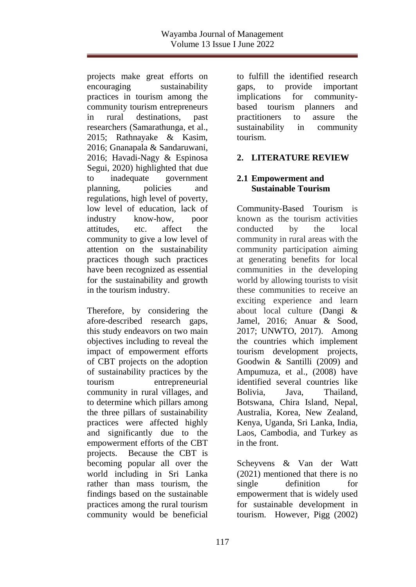projects make great efforts on encouraging sustainability practices in tourism among the community tourism entrepreneurs in rural destinations, past researchers (Samarathunga, et al., 2015; Rathnayake & Kasim, 2016; Gnanapala & Sandaruwani, 2016; Havadi-Nagy & Espinosa Segui, 2020) highlighted that due to inadequate government planning, policies and regulations, high level of poverty, low level of education, lack of industry know-how, poor attitudes, etc. affect the community to give a low level of attention on the sustainability practices though such practices have been recognized as essential for the sustainability and growth in the tourism industry.

Therefore, by considering the afore-described research gaps, this study endeavors on two main objectives including to reveal the impact of empowerment efforts of CBT projects on the adoption of sustainability practices by the tourism entrepreneurial community in rural villages, and to determine which pillars among the three pillars of sustainability practices were affected highly and significantly due to the empowerment efforts of the CBT projects. Because the CBT is becoming popular all over the world including in Sri Lanka rather than mass tourism, the findings based on the sustainable practices among the rural tourism community would be beneficial

to fulfill the identified research gaps, to provide important implications for communitybased tourism planners and practitioners to assure the sustainability in community tourism.

## **2. LITERATURE REVIEW**

## **2.1 Empowerment and Sustainable Tourism**

Community-Based Tourism is known as the tourism activities conducted by the local community in rural areas with the community participation aiming at generating benefits for local communities in the developing world by allowing tourists to visit these communities to receive an exciting experience and learn about local culture (Dangi & Jamel, 2016; Anuar & Sood, 2017; UNWTO, 2017). Among the countries which implement tourism development projects, Goodwin & Santilli (2009) and Ampumuza, et al., (2008) have identified several countries like Bolivia, Java, Thailand, Botswana, Chira Island, Nepal, Australia, Korea, New Zealand, Kenya, Uganda, Sri Lanka, India, Laos, Cambodia, and Turkey as in the front.

Scheyvens & Van der Watt (2021) mentioned that there is no single definition for empowerment that is widely used for sustainable development in tourism. However, Pigg (2002)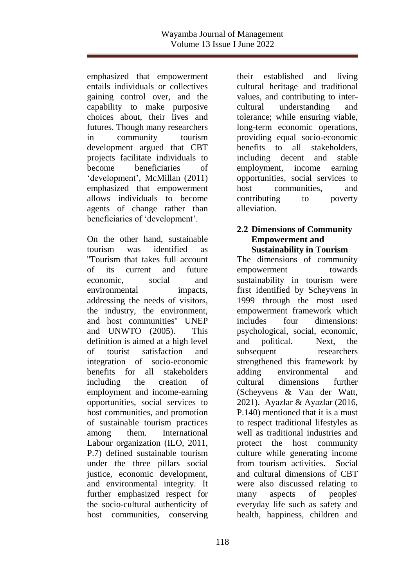emphasized that empowerment entails individuals or collectives gaining control over, and the capability to make purposive choices about, their lives and futures. Though many researchers in community tourism development argued that CBT projects facilitate individuals to become beneficiaries of 'development', McMillan (2011) emphasized that empowerment allows individuals to become agents of change rather than beneficiaries of 'development'.

On the other hand, sustainable tourism was identified as ''Tourism that takes full account of its current and future economic, social and environmental impacts, addressing the needs of visitors, the industry, the environment, and host communities'' UNEP and UNWTO (2005). This definition is aimed at a high level of tourist satisfaction and integration of socio-economic benefits for all stakeholders including the creation of employment and income-earning opportunities, social services to host communities, and promotion of sustainable tourism practices among them. International Labour organization (ILO, 2011, P.7) defined sustainable tourism under the three pillars social justice, economic development, and environmental integrity. It further emphasized respect for the socio-cultural authenticity of host communities, conserving

their established and living cultural heritage and traditional values, and contributing to intercultural understanding and tolerance; while ensuring viable, long-term economic operations, providing equal socio-economic benefits to all stakeholders, including decent and stable employment, income earning opportunities, social services to host communities, and contributing to poverty alleviation.

### **2.2 Dimensions of Community Empowerment and Sustainability in Tourism**

The dimensions of community empowerment towards sustainability in tourism were first identified by Scheyvens in 1999 through the most used empowerment framework which includes four dimensions: psychological, social, economic, and political. Next, the subsequent researchers strengthened this framework by adding environmental and cultural dimensions further (Scheyvens & Van der Watt, 2021). Ayazlar & Ayazlar (2016, P.140) mentioned that it is a must to respect traditional lifestyles as well as traditional industries and protect the host community culture while generating income from tourism activities. Social and cultural dimensions of CBT were also discussed relating to many aspects of peoples' everyday life such as safety and health, happiness, children and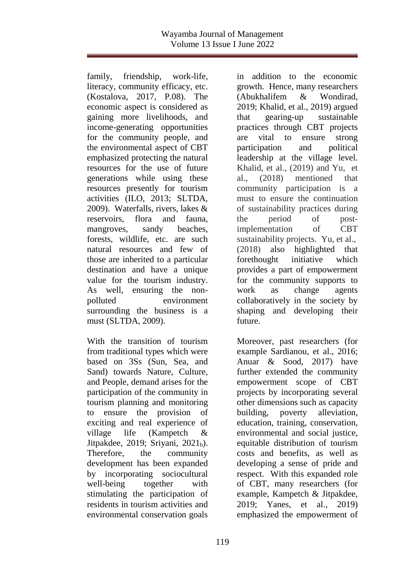family, friendship, work-life, literacy, community efficacy, etc. (Kostalova, 2017, P.08). The economic aspect is considered as gaining more livelihoods, and income-generating opportunities for the community people, and the environmental aspect of CBT emphasized protecting the natural resources for the use of future generations while using these resources presently for tourism activities (ILO, 2013; SLTDA, 2009). Waterfalls, rivers, lakes & reservoirs, flora and fauna, mangroves, sandy beaches, forests, wildlife, etc. are such natural resources and few of those are inherited to a particular destination and have a unique value for the tourism industry. As well, ensuring the nonpolluted environment surrounding the business is a must (SLTDA, 2009).

With the transition of tourism from traditional types which were based on 3Ss (Sun, Sea, and Sand) towards Nature, Culture, and People, demand arises for the participation of the community in tourism planning and monitoring to ensure the provision of exciting and real experience of village life (Kampetch & Jitpakdee, 2019; Sriyani, 2021b). Therefore, the community development has been expanded by incorporating sociocultural well-being together with stimulating the participation of residents in tourism activities and environmental conservation goals

in addition to the economic growth. Hence, many researchers (Abukhalifem & Wondirad, 2019; Khalid, et al., 2019) argued that gearing-up sustainable practices through CBT projects are vital to ensure strong participation and political leadership at the village level. Khalid, et al., (2019) and Yu, et al., (2018) mentioned that community participation is a must to ensure the continuation of sustainability practices during the period of postimplementation of CBT sustainability projects. Yu, et al., (2018) also highlighted that forethought initiative which provides a part of empowerment for the community supports to work as change agents collaboratively in the society by shaping and developing their future.

Moreover, past researchers (for example Sardianou, et al., 2016; Anuar & Sood, 2017) have further extended the community empowerment scope of CBT projects by incorporating several other dimensions such as capacity building, poverty alleviation, education, training, conservation, environmental and social justice, equitable distribution of tourism costs and benefits, as well as developing a sense of pride and respect. With this expanded role of CBT, many researchers (for example, Kampetch & Jitpakdee, 2019; Yanes, et al., 2019) emphasized the empowerment of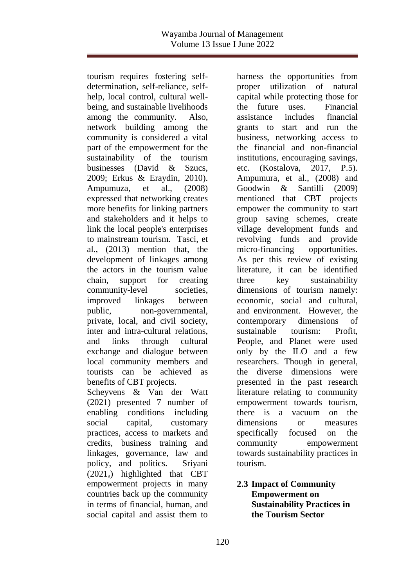tourism requires fostering selfdetermination, self-reliance, selfhelp, local control, cultural wellbeing, and sustainable livelihoods among the community. Also, network building among the community is considered a vital part of the empowerment for the sustainability of the tourism businesses (David & Szucs, 2009; Erkus & Eraydin, 2010). Ampumuza, et al., (2008) expressed that networking creates more benefits for linking partners and stakeholders and it helps to link the local people's enterprises to mainstream tourism. Tasci, et al., (2013) mention that, the development of linkages among the actors in the tourism value chain, support for creating community-level societies, improved linkages between public, non-governmental, private, local, and civil society, inter and intra-cultural relations, and links through cultural exchange and dialogue between local community members and tourists can be achieved as benefits of CBT projects. Scheyvens & Van der Watt (2021) presented 7 number of enabling conditions including social capital, customary practices, access to markets and credits, business training and linkages, governance, law and policy, and politics. Sriyani (2021a) highlighted that CBT empowerment projects in many countries back up the community in terms of financial, human, and

social capital and assist them to

harness the opportunities from proper utilization of natural capital while protecting those for the future uses. Financial assistance includes financial grants to start and run the business, networking access to the financial and non-financial institutions, encouraging savings, etc. (Kostalova, 2017, P.5). Ampumura, et al., (2008) and Goodwin & Santilli (2009) mentioned that CBT projects empower the community to start group saving schemes, create village development funds and revolving funds and provide micro-financing opportunities. As per this review of existing literature, it can be identified three key sustainability dimensions of tourism namely: economic, social and cultural, and environment. However, the contemporary dimensions of sustainable tourism: Profit, People, and Planet were used only by the ILO and a few researchers. Though in general, the diverse dimensions were presented in the past research literature relating to community empowerment towards tourism, there is a vacuum on the dimensions or measures specifically focused on the community empowerment towards sustainability practices in tourism.

### **2.3 Impact of Community Empowerment on Sustainability Practices in the Tourism Sector**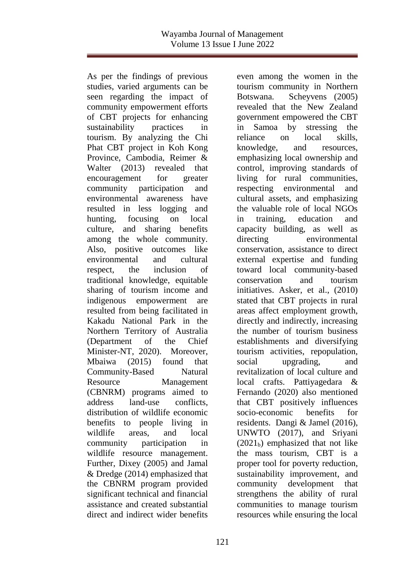As per the findings of previous studies, varied arguments can be seen regarding the impact of community empowerment efforts of CBT projects for enhancing sustainability practices in tourism. By analyzing the Chi Phat CBT project in Koh Kong Province, Cambodia, Reimer & Walter (2013) revealed that encouragement for greater community participation and environmental awareness have resulted in less logging and hunting, focusing on local culture, and sharing benefits among the whole community. Also, positive outcomes like environmental and cultural respect, the inclusion of traditional knowledge, equitable sharing of tourism income and indigenous empowerment are resulted from being facilitated in Kakadu National Park in the Northern Territory of Australia (Department of the Chief Minister-NT, 2020). Moreover, Mbaiwa (2015) found that Community-Based Natural Resource Management (CBNRM) programs aimed to address land-use conflicts, distribution of wildlife economic benefits to people living in wildlife areas, and local community participation in wildlife resource management. Further, Dixey (2005) and Jamal & Dredge (2014) emphasized that the CBNRM program provided significant technical and financial assistance and created substantial direct and indirect wider benefits

even among the women in the tourism community in Northern Botswana. Scheyvens (2005) revealed that the New Zealand government empowered the CBT in Samoa by stressing the reliance on local skills, knowledge, and resources, emphasizing local ownership and control, improving standards of living for rural communities, respecting environmental and cultural assets, and emphasizing the valuable role of local NGOs in training, education and capacity building, as well as directing environmental conservation, assistance to direct external expertise and funding toward local community-based conservation and tourism initiatives. Asker, et al., (2010) stated that CBT projects in rural areas affect employment growth, directly and indirectly, increasing the number of tourism business establishments and diversifying tourism activities, repopulation, social upgrading, and revitalization of local culture and local crafts. Pattiyagedara & Fernando (2020) also mentioned that CBT positively influences socio-economic benefits for residents. Dangi & Jamel (2016), UNWTO (2017), and Sriyani  $(2021<sub>b</sub>)$  emphasized that not like the mass tourism, CBT is a proper tool for poverty reduction, sustainability improvement, and community development that strengthens the ability of rural communities to manage tourism resources while ensuring the local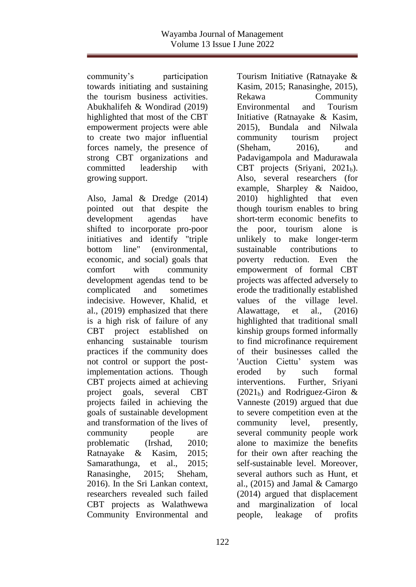community's participation towards initiating and sustaining the tourism business activities. Abukhalifeh & Wondirad (2019) highlighted that most of the CBT empowerment projects were able to create two major influential forces namely, the presence of strong CBT organizations and committed leadership with growing support.

Also, Jamal & Dredge (2014) pointed out that despite the development agendas have shifted to incorporate pro-poor initiatives and identify "triple bottom line" (environmental, economic, and social) goals that comfort with community development agendas tend to be complicated and sometimes indecisive. However, Khalid, et al., (2019) emphasized that there is a high risk of failure of any CBT project established on enhancing sustainable tourism practices if the community does not control or support the postimplementation actions. Though CBT projects aimed at achieving project goals, several CBT projects failed in achieving the goals of sustainable development and transformation of the lives of community people are problematic (Irshad, 2010; Ratnayake & Kasim, 2015; Samarathunga, et al., 2015; Ranasinghe, 2015; Sheham, 2016). In the Sri Lankan context, researchers revealed such failed CBT projects as Walathwewa Community Environmental and

Tourism Initiative (Ratnayake & Kasim, 2015; Ranasinghe, 2015), Rekawa Community Environmental and Tourism Initiative (Ratnayake & Kasim, 2015), Bundala and Nilwala community tourism project (Sheham, 2016), and Padavigampola and Madurawala CBT projects (Sriyani,  $2021<sub>b</sub>$ ). Also, several researchers (for example, Sharpley & Naidoo, 2010) highlighted that even though tourism enables to bring short-term economic benefits to the poor, tourism alone is unlikely to make longer-term sustainable contributions to poverty reduction. Even the empowerment of formal CBT projects was affected adversely to erode the traditionally established values of the village level. Alawattage, et al., (2016) highlighted that traditional small kinship groups formed informally to find microfinance requirement of their businesses called the 'Auction Ciettu' system was eroded by such formal interventions. Further, Sriyani  $(2021<sub>b</sub>)$  and Rodriguez-Giron & Vanneste (2019) argued that due to severe competition even at the community level, presently, several community people work alone to maximize the benefits for their own after reaching the self-sustainable level. Moreover, several authors such as Hunt, et al., (2015) and Jamal & Camargo (2014) argued that displacement and marginalization of local people, leakage of profits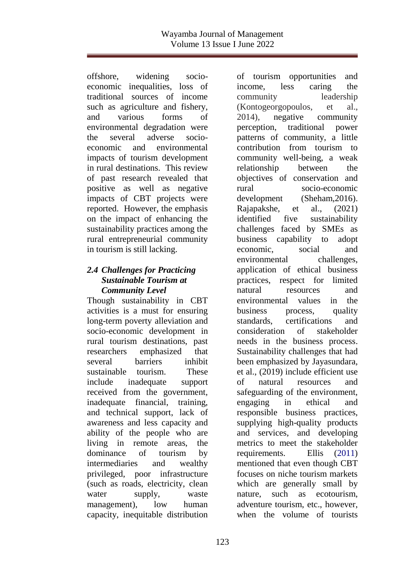offshore, widening socioeconomic inequalities, loss of traditional sources of income such as agriculture and fishery, and various forms of environmental degradation were the several adverse socioeconomic and environmental impacts of tourism development in rural destinations. This review of past research revealed that positive as well as negative impacts of CBT projects were reported. However, the emphasis on the impact of enhancing the sustainability practices among the rural entrepreneurial community in tourism is still lacking.

## *2.4 Challenges for Practicing Sustainable Tourism at Community Level*

Though sustainability in CBT activities is a must for ensuring long-term poverty alleviation and socio-economic development in rural tourism destinations, past researchers emphasized that several barriers inhibit sustainable tourism. These include inadequate support received from the government, inadequate financial, training, and technical support, lack of awareness and less capacity and ability of the people who are living in remote areas, the dominance of tourism by intermediaries and wealthy privileged, poor infrastructure (such as roads, electricity, clean water supply, waste management), low human capacity, inequitable distribution of tourism opportunities and income, less caring the community leadership (Kontogeorgopoulos, et al., 2014), negative community perception, traditional power patterns of community, a little contribution from tourism to community well-being, a weak relationship between the objectives of conservation and rural socio-economic development (Sheham,2016). Rajapakshe, et al., (2021) identified five sustainability challenges faced by SMEs as business capability to adopt economic, social and environmental challenges, application of ethical business practices, respect for limited natural resources and environmental values in the business process, quality standards, certifications and consideration of stakeholder needs in the business process. Sustainability challenges that had been emphasized by Jayasundara, et al., (2019) include efficient use of natural resources and safeguarding of the environment, engaging in ethical and responsible business practices, supplying high-quality products and services, and developing metrics to meet the stakeholder requirements. Ellis (2011) mentioned that even though CBT focuses on niche tourism markets which are generally small by nature, such as ecotourism, adventure tourism, etc., however, when the volume of tourists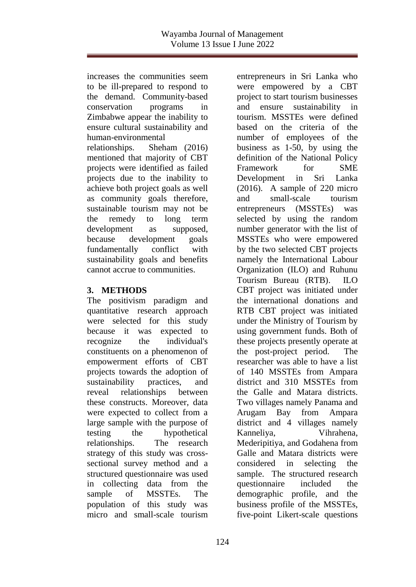increases the communities seem to be ill-prepared to respond to the demand. Community-based conservation programs in Zimbabwe appear the inability to ensure cultural sustainability and human-environmental relationships. Sheham (2016) mentioned that majority of CBT projects were identified as failed projects due to the inability to achieve both project goals as well as community goals therefore, sustainable tourism may not be the remedy to long term development as supposed, because development goals fundamentally conflict with sustainability goals and benefits cannot accrue to communities.

## **3. METHODS**

The positivism paradigm and quantitative research approach were selected for this study because it was expected to recognize the individual's constituents on a phenomenon of empowerment efforts of CBT projects towards the adoption of sustainability practices, and reveal relationships between these constructs. Moreover, data were expected to collect from a large sample with the purpose of testing the hypothetical relationships. The research strategy of this study was crosssectional survey method and a structured questionnaire was used in collecting data from the sample of MSSTEs. The population of this study was micro and small-scale tourism

entrepreneurs in Sri Lanka who were empowered by a CBT project to start tourism businesses and ensure sustainability in tourism. MSSTEs were defined based on the criteria of the number of employees of the business as 1-50, by using the definition of the National Policy Framework for SME Development in Sri Lanka (2016). A sample of 220 micro and small-scale tourism entrepreneurs (MSSTEs) was selected by using the random number generator with the list of MSSTEs who were empowered by the two selected CBT projects namely the International Labour Organization (ILO) and Ruhunu Tourism Bureau (RTB). ILO CBT project was initiated under the international donations and RTB CBT project was initiated under the Ministry of Tourism by using government funds. Both of these projects presently operate at the post-project period. The researcher was able to have a list of 140 MSSTEs from Ampara district and 310 MSSTEs from the Galle and Matara districts. Two villages namely Panama and Arugam Bay from Ampara district and 4 villages namely Kanneliya, Vihrahena, Mederipitiya, and Godahena from Galle and Matara districts were considered in selecting the sample. The structured research questionnaire included the demographic profile, and the business profile of the MSSTEs, five-point Likert-scale questions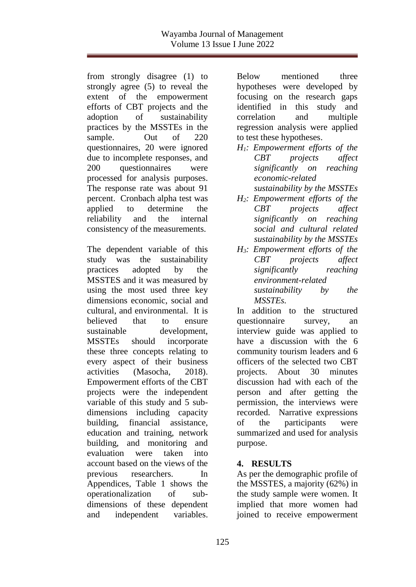from strongly disagree (1) to strongly agree (5) to reveal the extent of the empowerment efforts of CBT projects and the adoption of sustainability practices by the MSSTEs in the sample. Out of 220 questionnaires, 20 were ignored due to incomplete responses, and 200 questionnaires were processed for analysis purposes. The response rate was about 91 percent. Cronbach alpha test was applied to determine the reliability and the internal consistency of the measurements.

The dependent variable of this study was the sustainability practices adopted by the MSSTES and it was measured by using the most used three key dimensions economic, social and cultural, and environmental. It is believed that to ensure sustainable development, MSSTEs should incorporate these three concepts relating to every aspect of their business activities (Masocha, 2018). Empowerment efforts of the CBT projects were the independent variable of this study and 5 subdimensions including capacity building, financial assistance, education and training, network building, and monitoring and evaluation were taken into account based on the views of the previous researchers. In Appendices, Table 1 shows the operationalization of subdimensions of these dependent and independent variables.

Below mentioned three hypotheses were developed by focusing on the research gaps identified in this study and correlation and multiple regression analysis were applied to test these hypotheses.

- *H1: Empowerment efforts of the CBT projects affect significantly on reaching economic-related sustainability by the MSSTEs*
- *H2: Empowerment efforts of the CBT projects affect significantly on reaching social and cultural related sustainability by the MSSTEs*
- *H3: Empowerment efforts of the CBT projects affect significantly reaching environment-related sustainability by the MSSTEs.*

In addition to the structured questionnaire survey, an interview guide was applied to have a discussion with the 6 community tourism leaders and 6 officers of the selected two CBT projects. About 30 minutes discussion had with each of the person and after getting the permission, the interviews were recorded. Narrative expressions of the participants were summarized and used for analysis purpose.

## **4. RESULTS**

As per the demographic profile of the MSSTES, a majority (62%) in the study sample were women. It implied that more women had joined to receive empowerment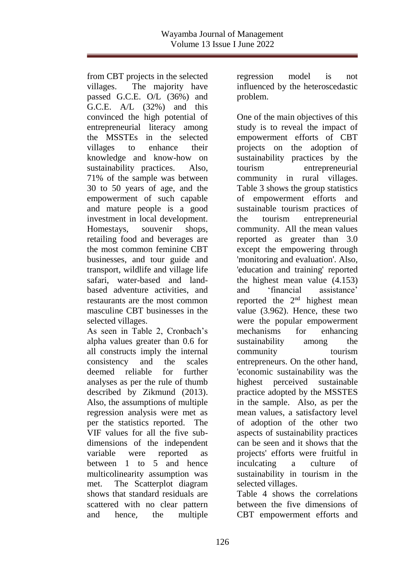from CBT projects in the selected villages. The majority have passed G.C.E. O/L (36%) and G.C.E. A/L (32%) and this convinced the high potential of entrepreneurial literacy among the MSSTEs in the selected villages to enhance their knowledge and know-how on sustainability practices. Also, 71% of the sample was between 30 to 50 years of age, and the empowerment of such capable and mature people is a good investment in local development. Homestays, souvenir shops, retailing food and beverages are the most common feminine CBT businesses, and tour guide and transport, wildlife and village life safari, water-based and landbased adventure activities, and restaurants are the most common masculine CBT businesses in the selected villages.

As seen in Table 2, Cronbach's alpha values greater than 0.6 for all constructs imply the internal consistency and the scales deemed reliable for further analyses as per the rule of thumb described by Zikmund (2013). Also, the assumptions of multiple regression analysis were met as per the statistics reported. The VIF values for all the five subdimensions of the independent variable were reported as between 1 to 5 and hence multicolinearity assumption was met. The Scatterplot diagram shows that standard residuals are scattered with no clear pattern and hence, the multiple

regression model is not influenced by the heteroscedastic problem.

One of the main objectives of this study is to reveal the impact of empowerment efforts of CBT projects on the adoption of sustainability practices by the tourism entrepreneurial community in rural villages. Table 3 shows the group statistics of empowerment efforts and sustainable tourism practices of the tourism entrepreneurial community. All the mean values reported as greater than 3.0 except the empowering through 'monitoring and evaluation'. Also, 'education and training' reported the highest mean value (4.153) and 'financial assistance' reported the  $2<sup>nd</sup>$  highest mean value (3.962). Hence, these two were the popular empowerment mechanisms for enhancing sustainability among the community tourism entrepreneurs. On the other hand, 'economic sustainability was the highest perceived sustainable practice adopted by the MSSTES in the sample. Also, as per the mean values, a satisfactory level of adoption of the other two aspects of sustainability practices can be seen and it shows that the projects' efforts were fruitful in inculcating a culture of sustainability in tourism in the selected villages.

Table 4 shows the correlations between the five dimensions of CBT empowerment efforts and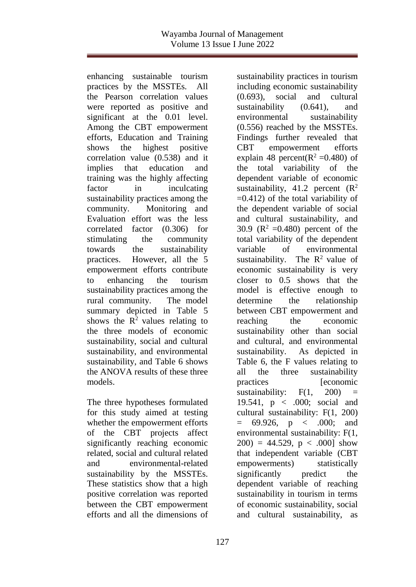enhancing sustainable tourism practices by the MSSTEs. All the Pearson correlation values were reported as positive and significant at the 0.01 level. Among the CBT empowerment efforts, Education and Training shows the highest positive correlation value (0.538) and it implies that education and training was the highly affecting factor in inculcating sustainability practices among the community. Monitoring and Evaluation effort was the less correlated factor (0.306) for stimulating the community towards the sustainability practices. However, all the 5 empowerment efforts contribute to enhancing the tourism sustainability practices among the rural community. The model summary depicted in Table 5 shows the  $\mathbb{R}^2$  values relating to the three models of economic sustainability, social and cultural sustainability, and environmental sustainability, and Table 6 shows the ANOVA results of these three models.

The three hypotheses formulated for this study aimed at testing whether the empowerment efforts of the CBT projects affect significantly reaching economic related, social and cultural related and environmental-related sustainability by the MSSTEs. These statistics show that a high positive correlation was reported between the CBT empowerment efforts and all the dimensions of

including economic sustainability (0.693), social and cultural sustainability  $(0.641)$ , and environmental sustainability (0.556) reached by the MSSTEs. Findings further revealed that CBT empowerment efforts explain 48 percent( $R^2 = 0.480$ ) of the total variability of the dependent variable of economic sustainability, 41.2 percent  $(R^2)$  $=0.412$ ) of the total variability of the dependent variable of social and cultural sustainability, and 30.9 ( $R^2 = 0.480$ ) percent of the total variability of the dependent variable of environmental sustainability. The  $\mathbb{R}^2$  value of economic sustainability is very closer to 0.5 shows that the model is effective enough to determine the relationship between CBT empowerment and reaching the economic sustainability other than social and cultural, and environmental sustainability. As depicted in Table 6, the F values relating to all the three sustainability practices [economic sustainability:  $F(1, 200)$ 19.541, p < .000; social and cultural sustainability: F(1, 200)  $= 69.926$ ,  $p < .000$ ; and environmental sustainability: F(1,  $200$ ) = 44.529, p < .000] show that independent variable (CBT empowerments) statistically significantly predict the dependent variable of reaching sustainability in tourism in terms of economic sustainability, social and cultural sustainability, as

sustainability practices in tourism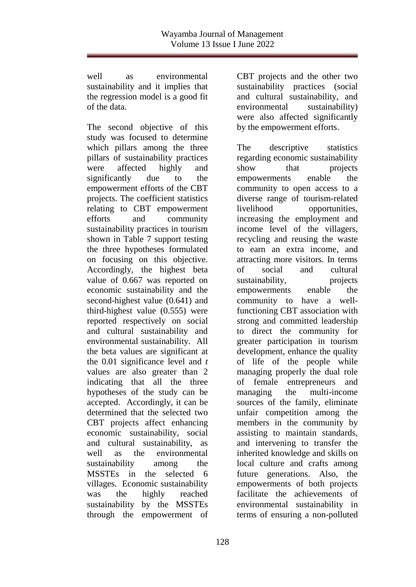well as environmental sustainability and it implies that the regression model is a good fit of the data.

The second objective of this study was focused to determine which pillars among the three pillars of sustainability practices were affected highly and significantly due to the empowerment efforts of the CBT projects. The coefficient statistics relating to CBT empowerment efforts and community sustainability practices in tourism shown in Table 7 support testing the three hypotheses formulated on focusing on this objective. Accordingly, the highest beta value of 0.667 was reported on economic sustainability and the second-highest value (0.641) and third-highest value (0.555) were reported respectively on social and cultural sustainability and environmental sustainability. All the beta values are significant at the 0.01 significance level and *t*  values are also greater than 2 indicating that all the three hypotheses of the study can be accepted. Accordingly, it can be determined that the selected two CBT projects affect enhancing economic sustainability, social and cultural sustainability, as well as the environmental sustainability among the MSSTEs in the selected 6 villages. Economic sustainability was the highly reached sustainability by the MSSTEs through the empowerment of

CBT projects and the other two sustainability practices (social and cultural sustainability, and environmental sustainability) were also affected significantly by the empowerment efforts.

The descriptive statistics regarding economic sustainability show that projects empowerments enable the community to open access to a diverse range of tourism-related livelihood opportunities, increasing the employment and income level of the villagers, recycling and reusing the waste to earn an extra income, and attracting more visitors. In terms of social and cultural sustainability, projects empowerments enable the community to have a wellfunctioning CBT association with strong and committed leadership to direct the community for greater participation in tourism development, enhance the quality of life of the people while managing properly the dual role of female entrepreneurs and managing the multi-income sources of the family, eliminate unfair competition among the members in the community by assisting to maintain standards, and intervening to transfer the inherited knowledge and skills on local culture and crafts among future generations. Also, the empowerments of both projects facilitate the achievements of environmental sustainability in terms of ensuring a non-polluted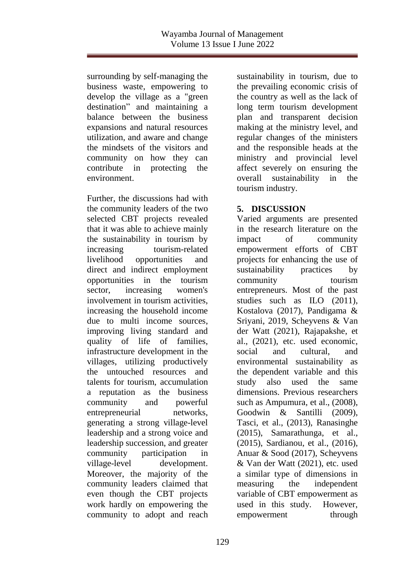surrounding by self-managing the business waste, empowering to develop the village as a "green destination" and maintaining a balance between the business expansions and natural resources utilization, and aware and change the mindsets of the visitors and community on how they can contribute in protecting the environment.

Further, the discussions had with the community leaders of the two selected CBT projects revealed that it was able to achieve mainly the sustainability in tourism by increasing tourism-related livelihood opportunities and direct and indirect employment opportunities in the tourism sector, increasing women's involvement in tourism activities, increasing the household income due to multi income sources, improving living standard and quality of life of families, infrastructure development in the villages, utilizing productively the untouched resources and talents for tourism, accumulation a reputation as the business community and powerful entrepreneurial networks, generating a strong village-level leadership and a strong voice and leadership succession, and greater community participation in village-level development. Moreover, the majority of the community leaders claimed that even though the CBT projects work hardly on empowering the community to adopt and reach

sustainability in tourism, due to the prevailing economic crisis of the country as well as the lack of long term tourism development plan and transparent decision making at the ministry level, and regular changes of the ministers and the responsible heads at the ministry and provincial level affect severely on ensuring the overall sustainability in the tourism industry.

## **5. DISCUSSION**

Varied arguments are presented in the research literature on the impact of community empowerment efforts of CBT projects for enhancing the use of sustainability practices by community tourism entrepreneurs. Most of the past studies such as ILO (2011), Kostalova (2017), Pandigama & Sriyani, 2019, Scheyvens & Van der Watt (2021), Rajapakshe, et al., (2021), etc. used economic, social and cultural, and environmental sustainability as the dependent variable and this study also used the same dimensions. Previous researchers such as Ampumura, et al., (2008), Goodwin & Santilli (2009), Tasci, et al., (2013), Ranasinghe (2015), Samarathunga, et al., (2015), Sardianou, et al., (2016), Anuar & Sood (2017), Scheyvens & Van der Watt (2021), etc. used a similar type of dimensions in measuring the independent variable of CBT empowerment as used in this study. However, empowerment through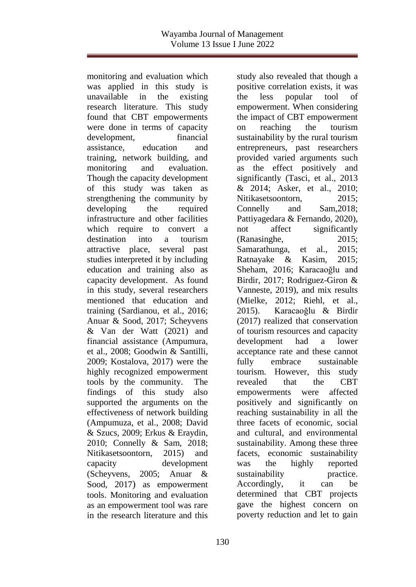monitoring and evaluation which was applied in this study is unavailable in the existing research literature. This study found that CBT empowerments were done in terms of capacity development, financial assistance, education and training, network building, and monitoring and evaluation. Though the capacity development of this study was taken as strengthening the community by developing the required infrastructure and other facilities which require to convert a destination into a tourism attractive place, several past studies interpreted it by including education and training also as capacity development. As found in this study, several researchers mentioned that education and training (Sardianou, et al., 2016; Anuar & Sood, 2017; Scheyvens & Van der Watt (2021) and financial assistance (Ampumura, et al., 2008; Goodwin & Santilli, 2009; Kostalova, 2017) were the highly recognized empowerment tools by the community. The findings of this study also supported the arguments on the effectiveness of network building (Ampumuza, et al., 2008; David & Szucs, 2009; Erkus & Eraydin, 2010; Connelly & Sam, 2018; Nitikasetsoontorn, 2015) and capacity development (Scheyvens, 2005; Anuar & Sood, 2017) as empowerment tools. Monitoring and evaluation as an empowerment tool was rare in the research literature and this

study also revealed that though a positive correlation exists, it was the less popular tool of empowerment. When considering the impact of CBT empowerment on reaching the tourism sustainability by the rural tourism entrepreneurs, past researchers provided varied arguments such as the effect positively and significantly (Tasci, et al., 2013 & 2014; Asker, et al., 2010; Nitikasetsoontorn, 2015; Connelly and Sam,2018; Pattiyagedara & Fernando, 2020), not affect significantly (Ranasinghe, 2015; Samarathunga, et al., 2015; Ratnayake & Kasim, 2015; Sheham, 2016; Karacaoğlu and Birdir, 2017; Rodriguez-Giron & Vanneste, 2019), and mix results (Mielke, 2012; Riehl, et al., 2015). Karacaoğlu & Birdir (2017) realized that conservation of tourism resources and capacity development had a lower acceptance rate and these cannot fully embrace sustainable tourism. However, this study revealed that the CBT empowerments were affected positively and significantly on reaching sustainability in all the three facets of economic, social and cultural, and environmental sustainability. Among these three facets, economic sustainability was the highly reported sustainability practice. Accordingly, it can be determined that CBT projects gave the highest concern on poverty reduction and let to gain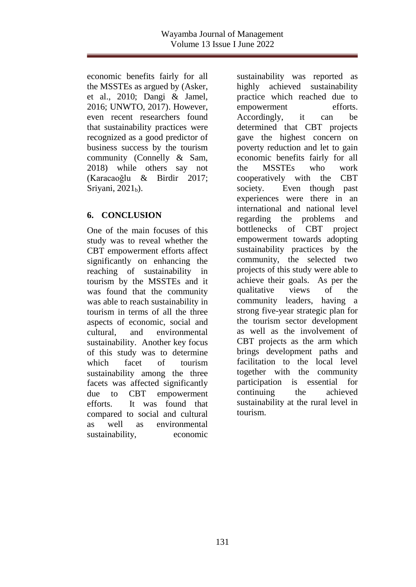economic benefits fairly for all the MSSTEs as argued by (Asker, et al., 2010; Dangi & Jamel, 2016; UNWTO, 2017). However, even recent researchers found that sustainability practices were recognized as a good predictor of business success by the tourism community (Connelly & Sam, 2018) while others say not (Karacaoğlu & Birdir 2017; Sriyani,  $2021<sub>b</sub>$ ).

## **6. CONCLUSION**

One of the main focuses of this study was to reveal whether the CBT empowerment efforts affect significantly on enhancing the reaching of sustainability in tourism by the MSSTEs and it was found that the community was able to reach sustainability in tourism in terms of all the three aspects of economic, social and cultural, and environmental sustainability. Another key focus of this study was to determine which facet of tourism sustainability among the three facets was affected significantly due to CBT empowerment efforts. It was found that compared to social and cultural as well as environmental sustainability, economic

sustainability was reported as highly achieved sustainability practice which reached due to empowerment efforts. Accordingly, it can be determined that CBT projects gave the highest concern on poverty reduction and let to gain economic benefits fairly for all the MSSTEs who work cooperatively with the CBT society. Even though past experiences were there in an international and national level regarding the problems and bottlenecks of CBT project empowerment towards adopting sustainability practices by the community, the selected two projects of this study were able to achieve their goals. As per the qualitative views of the community leaders, having a strong five-year strategic plan for the tourism sector development as well as the involvement of CBT projects as the arm which brings development paths and facilitation to the local level together with the community participation is essential for continuing the achieved sustainability at the rural level in tourism.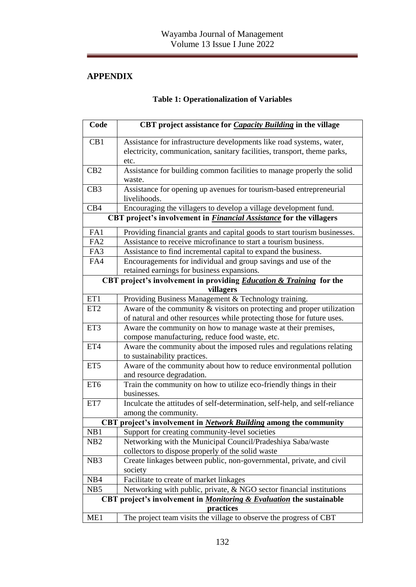# **APPENDIX**

# **Table 1: Operationalization of Variables**

| Code            | CBT project assistance for <i>Capacity Building</i> in the village                              |  |  |  |  |  |
|-----------------|-------------------------------------------------------------------------------------------------|--|--|--|--|--|
| CB1             | Assistance for infrastructure developments like road systems, water,                            |  |  |  |  |  |
|                 | electricity, communication, sanitary facilities, transport, theme parks,                        |  |  |  |  |  |
|                 | etc.                                                                                            |  |  |  |  |  |
| CB <sub>2</sub> | Assistance for building common facilities to manage properly the solid                          |  |  |  |  |  |
|                 | waste.                                                                                          |  |  |  |  |  |
| CB <sub>3</sub> | Assistance for opening up avenues for tourism-based entrepreneurial<br>livelihoods.             |  |  |  |  |  |
| CB4             | Encouraging the villagers to develop a village development fund.                                |  |  |  |  |  |
|                 | CBT project's involvement in <i>Financial Assistance</i> for the villagers                      |  |  |  |  |  |
| FA1             | Providing financial grants and capital goods to start tourism businesses.                       |  |  |  |  |  |
| FA2             | Assistance to receive microfinance to start a tourism business.                                 |  |  |  |  |  |
| FA3             | Assistance to find incremental capital to expand the business.                                  |  |  |  |  |  |
| FA4             | Encouragements for individual and group savings and use of the                                  |  |  |  |  |  |
|                 | retained earnings for business expansions.                                                      |  |  |  |  |  |
|                 | CBT project's involvement in providing <b>Education &amp; Training</b> for the                  |  |  |  |  |  |
|                 | villagers                                                                                       |  |  |  |  |  |
| ET1             | Providing Business Management & Technology training.                                            |  |  |  |  |  |
| ET <sub>2</sub> | Aware of the community $\&$ visitors on protecting and proper utilization                       |  |  |  |  |  |
|                 | of natural and other resources while protecting those for future uses.                          |  |  |  |  |  |
| ET3             | Aware the community on how to manage waste at their premises,                                   |  |  |  |  |  |
|                 | compose manufacturing, reduce food waste, etc.                                                  |  |  |  |  |  |
| ET4             | Aware the community about the imposed rules and regulations relating                            |  |  |  |  |  |
|                 | to sustainability practices.                                                                    |  |  |  |  |  |
| ET <sub>5</sub> | Aware of the community about how to reduce environmental pollution<br>and resource degradation. |  |  |  |  |  |
| ET6             | Train the community on how to utilize eco-friendly things in their                              |  |  |  |  |  |
|                 | businesses.                                                                                     |  |  |  |  |  |
| ET7             | Inculcate the attitudes of self-determination, self-help, and self-reliance                     |  |  |  |  |  |
|                 | among the community.                                                                            |  |  |  |  |  |
| <b>CBT</b>      | project's involvement in Network Building among the community                                   |  |  |  |  |  |
| NB1             | Support for creating community-level societies                                                  |  |  |  |  |  |
| NB <sub>2</sub> | Networking with the Municipal Council/Pradeshiya Saba/waste                                     |  |  |  |  |  |
|                 | collectors to dispose properly of the solid waste                                               |  |  |  |  |  |
| NB <sub>3</sub> | Create linkages between public, non-governmental, private, and civil                            |  |  |  |  |  |
|                 | society                                                                                         |  |  |  |  |  |
| NB4             | Facilitate to create of market linkages                                                         |  |  |  |  |  |
| NB <sub>5</sub> | Networking with public, private, & NGO sector financial institutions                            |  |  |  |  |  |
|                 | CBT project's involvement in <i>Monitoring &amp; Evaluation</i> the sustainable                 |  |  |  |  |  |
|                 | practices                                                                                       |  |  |  |  |  |
| ME1             | The project team visits the village to observe the progress of CBT                              |  |  |  |  |  |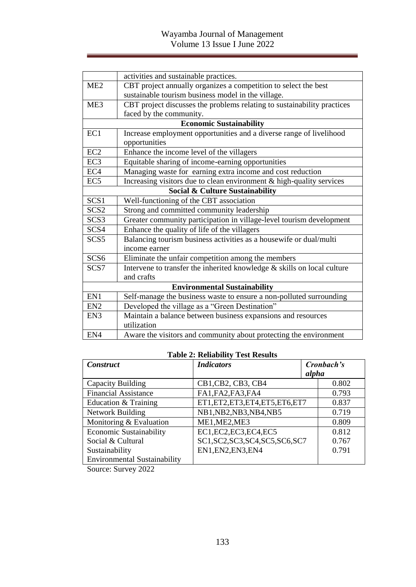|                  | activities and sustainable practices.                                      |
|------------------|----------------------------------------------------------------------------|
| ME2              | CBT project annually organizes a competition to select the best            |
|                  | sustainable tourism business model in the village.                         |
| ME <sub>3</sub>  | CBT project discusses the problems relating to sustainability practices    |
|                  | faced by the community.                                                    |
|                  | <b>Economic Sustainability</b>                                             |
| EC1              | Increase employment opportunities and a diverse range of livelihood        |
|                  | opportunities                                                              |
| EC <sub>2</sub>  | Enhance the income level of the villagers                                  |
| EC <sub>3</sub>  | Equitable sharing of income-earning opportunities                          |
| EC <sub>4</sub>  | Managing waste for earning extra income and cost reduction                 |
| EC <sub>5</sub>  | Increasing visitors due to clean environment & high-quality services       |
|                  | Social & Culture Sustainability                                            |
| SCS <sub>1</sub> | Well-functioning of the CBT association                                    |
| SCS <sub>2</sub> | Strong and committed community leadership                                  |
| SCS <sub>3</sub> | Greater community participation in village-level tourism development       |
| SCS4             | Enhance the quality of life of the villagers                               |
| SCS <sub>5</sub> | Balancing tourism business activities as a housewife or dual/multi         |
|                  | income earner                                                              |
| SCS <sub>6</sub> | Eliminate the unfair competition among the members                         |
| SCS7             | Intervene to transfer the inherited knowledge $\&$ skills on local culture |
|                  | and crafts                                                                 |
|                  | <b>Environmental Sustainability</b>                                        |
| EN1              | Self-manage the business waste to ensure a non-polluted surrounding        |
| EN <sub>2</sub>  | Developed the village as a "Green Destination"                             |
| EN <sub>3</sub>  | Maintain a balance between business expansions and resources               |
|                  | utilization                                                                |
| EN4              | Aware the visitors and community about protecting the environment          |

## **Table 2: Reliability Test Results**

| <b>Construct</b>                    | <i>Indicators</i>                 | Cronbach's |       |
|-------------------------------------|-----------------------------------|------------|-------|
|                                     |                                   | alpha      |       |
| Capacity Building                   | CB1, CB2, CB3, CB4                |            | 0.802 |
| <b>Financial Assistance</b>         | FA1, FA2, FA3, FA4                |            | 0.793 |
| Education & Training                | ET1, ET2, ET3, ET4, ET5, ET6, ET7 |            | 0.837 |
| Network Building                    | NB1, NB2, NB3, NB4, NB5           |            | 0.719 |
| Monitoring & Evaluation             | ME1, ME2, ME3                     |            | 0.809 |
| <b>Economic Sustainability</b>      | EC1, EC2, EC3, EC4, EC5           |            | 0.812 |
| Social & Cultural                   | SC1, SC2, SC3, SC4, SC5, SC6, SC7 |            | 0.767 |
| Sustainability                      | EN1, EN2, EN3, EN4                |            | 0.791 |
| <b>Environmental Sustainability</b> |                                   |            |       |

Source: Survey 2022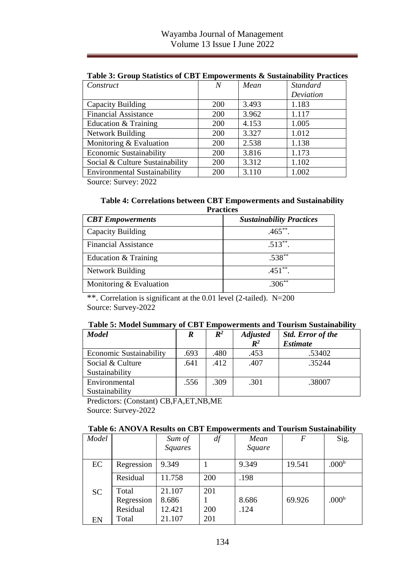| Construct                           | N          | Mean  | <b>Standard</b> |
|-------------------------------------|------------|-------|-----------------|
|                                     |            |       | Deviation       |
| Capacity Building                   | <b>200</b> | 3.493 | 1.183           |
| <b>Financial Assistance</b>         | <b>200</b> | 3.962 | 1.117           |
| Education & Training                | 200        | 4.153 | 1.005           |
| <b>Network Building</b>             | <b>200</b> | 3.327 | 1.012           |
| Monitoring & Evaluation             | <b>200</b> | 2.538 | 1.138           |
| <b>Economic Sustainability</b>      | <b>200</b> | 3.816 | 1.173           |
| Social & Culture Sustainability     | <b>200</b> | 3.312 | 1.102           |
| <b>Environmental Sustainability</b> | 200        | 3.110 | 1.002           |

**Table 3: Group Statistics of CBT Empowerments & Sustainability Practices**

Source: Survey: 2022

#### **Table 4: Correlations between CBT Empowerments and Sustainability Practices**

| <b>CBT</b> Empowerments     | <b>Sustainability Practices</b> |
|-----------------------------|---------------------------------|
| Capacity Building           | $.465**$                        |
| <b>Financial Assistance</b> | $.513**$                        |
| Education & Training        | $.538***$                       |
| Network Building            | $.451**$                        |
| Monitoring & Evaluation     | 306 $*$                         |

\*\*. Correlation is significant at the 0.01 level (2-tailed). N=200 Source: Survey-2022

#### **Table 5: Model Summary of CBT Empowerments and Tourism Sustainability**

| <b>Model</b>            | R    | $\mathbb{R}^2$ | <b>Adjusted</b> | <b>Std.</b> Error of the |
|-------------------------|------|----------------|-----------------|--------------------------|
|                         |      |                | $R^2$           | <b>Estimate</b>          |
| Economic Sustainability | .693 | .480           | .453            | .53402                   |
| Social & Culture        | .641 | .412           | .407            | 35244                    |
| Sustainability          |      |                |                 |                          |
| Environmental           | .556 | .309           | .301            | .38007                   |
| Sustainability          |      |                |                 |                          |

Predictors: (Constant) CB,FA,ET,NB,ME Source: Survey-2022

#### **Table 6: ANOVA Results on CBT Empowerments and Tourism Sustainability**

| Model |            | Sum of<br><b>Squares</b> | df  | Mean<br>Square | F      | Sig.              |
|-------|------------|--------------------------|-----|----------------|--------|-------------------|
|       |            |                          |     |                |        |                   |
| EC    | Regression | 9.349                    |     | 9.349          | 19.541 | .000 <sup>b</sup> |
|       | Residual   | 11.758                   | 200 | .198           |        |                   |
| SC.   | Total      | 21.107                   | 201 |                |        |                   |
|       | Regression | 8.686                    |     | 8.686          | 69.926 | .000 <sup>b</sup> |
|       | Residual   | 12.421                   | 200 | .124           |        |                   |
| EN    | Total      | 21.107                   | 201 |                |        |                   |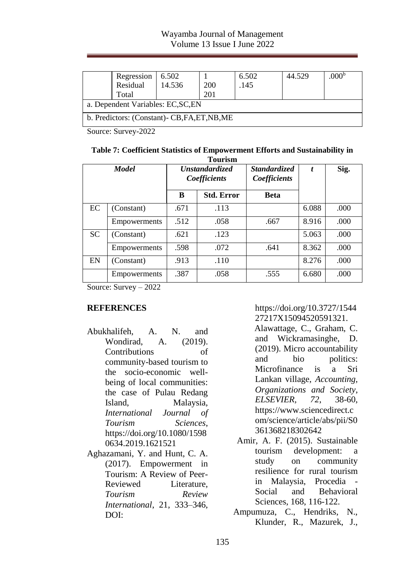### Wayamba Journal of Management Volume 13 Issue I June 2022

|                                               | Regression<br>Residual<br>Total | 6.502<br>14.536 | 200<br>201 | 6.502<br>.145 | 44.529 | .000 <sup>b</sup> |  |
|-----------------------------------------------|---------------------------------|-----------------|------------|---------------|--------|-------------------|--|
| a. Dependent Variables: EC, SC, EN            |                                 |                 |            |               |        |                   |  |
| b. Predictors: (Constant)- CB, FA, ET, NB, ME |                                 |                 |            |               |        |                   |  |

Source: Survey-2022

| Table 7: Coefficient Statistics of Empowerment Efforts and Sustainability in |  |
|------------------------------------------------------------------------------|--|
| <b>Tourism</b>                                                               |  |

| <b>Model</b> |                     | <b>Unstandardized</b><br>Coefficients |                   | <b>Standardized</b><br>Coefficients |       | Sig. |
|--------------|---------------------|---------------------------------------|-------------------|-------------------------------------|-------|------|
|              |                     | B                                     | <b>Std. Error</b> | <b>Beta</b>                         |       |      |
| EC           | (Constant)          | .671                                  | .113              |                                     | 6.088 | .000 |
|              | Empowerments        | .512                                  | .058              | .667                                | 8.916 | .000 |
| <b>SC</b>    | (Constant)          | .621                                  | .123              |                                     | 5.063 | .000 |
|              | <b>Empowerments</b> | .598                                  | .072              | .641                                | 8.362 | .000 |
| EN           | (Constant)          | .913                                  | .110              |                                     | 8.276 | .000 |
|              | Empowerments        | .387                                  | .058              | .555                                | 6.680 | .000 |

Source: Survey – 2022

#### **REFERENCES**

Abukhalifeh, A. N. and Wondirad, A. (2019). Contributions of community-based tourism to the socio-economic wellbeing of local communities: the case of Pulau Redang Island, Malaysia, *International Journal of Tourism Sciences*, https://doi.org/10.1080/1598 0634.2019.1621521

Aghazamani, Y. and Hunt, C. A. (2017). Empowerment in Tourism: A Review of Peer-Reviewed Literature, *Tourism Review International*, 21, 333–346, DOI:

https://doi.org/10.3727/1544 27217X15094520591321. Alawattage, C., Graham, C. and Wickramasinghe, D. (2019). Micro accountability and bio politics: Microfinance is a Sri Lankan village, *Accounting, Organizations and Society*, *ELSEVIER, 72*, 38-60, https://www.sciencedirect.c om/science/article/abs/pii/S0 361368218302642

- Amir, A. F. (2015). Sustainable tourism development: a study on community resilience for rural tourism in Malaysia, Procedia - Social and Behavioral Sciences, 168, 116-122.
- Ampumuza, C., Hendriks, N., Klunder, R., Mazurek, J.,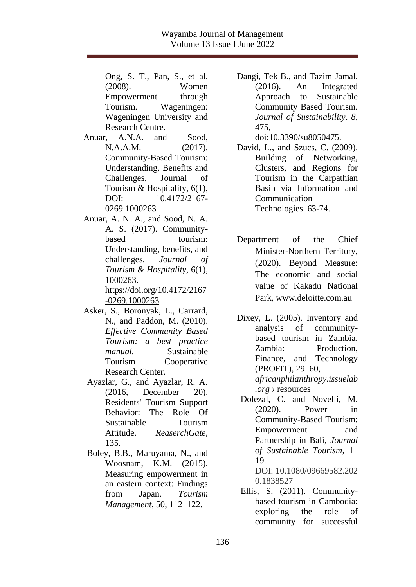Ong, S. T., Pan, S., et al. (2008). Women Empowerment through Tourism. Wageningen: Wageningen University and Research Centre.

- Anuar, A.N.A. and Sood, N.A.A.M. (2017). Community-Based Tourism: Understanding, Benefits and Challenges, Journal of Tourism  $&$  Hospitality, 6(1), DOI:  $10.4172/2167$ 0269.1000263
- Anuar, A. N. A., and Sood, N. A. A. S. (2017). Communitybased tourism: Understanding, benefits, and challenges. *Journal of Tourism & Hospitality*, 6(1), 1000263. [https://doi.org/10.4172/2167](https://doi.org/10.4172/2167-0269.1000263) [-0269.1000263](https://doi.org/10.4172/2167-0269.1000263)
- Asker, S., Boronyak, L., Carrard, N., and Paddon, M. (2010). *Effective Community Based Tourism: a best practice manual.* Sustainable Tourism Cooperative Research Center.
- Ayazlar, G., and Ayazlar, R. A. (2016, December 20). Residents' Tourism Support Behavior: The Role Of Sustainable Tourism Attitude. *ReaserchGate*, 135.
- Boley, B.B., Maruyama, N., and Woosnam, K.M. (2015). Measuring empowerment in an eastern context: Findings from Japan. *Tourism Management*, 50, 112–122.

Dangi, Tek B., and Tazim Jamal. (2016). An Integrated Approach to Sustainable Community Based Tourism. *Journal of Sustainability*. *8*, 475, doi:10.3390/su8050475.

David, L., and Szucs, C. (2009). Building of Networking, Clusters, and Regions for Tourism in the Carpathian Basin via Information and Communication Technologies. 63-74.

- Department of the Chief Minister-Northern Territory, (2020). Beyond Measure: The economic and social value of Kakadu National Park, www.deloitte.com.au
- Dixey, L. (2005). Inventory and analysis of communitybased tourism in Zambia. Zambia: Production, Finance, and Technology (PROFIT), 29–6[0,](http://africanphilanthropy.issuelab.org/resources/20015/20015.pdf) *[africanphilanthropy.issuelab](http://africanphilanthropy.issuelab.org/resources/20015/20015.pdf) .org* › [resources](http://africanphilanthropy.issuelab.org/resources/20015/20015.pdf)
- Dolezal, C. and Novelli, M. (2020). Power in Community-Based Tourism: Empowerment and Partnership in Bali, *Journal of Sustainable Tourism*, 1– 19.

DOI: [10.1080/09669582.202](https://doi.org/10.1080/09669582.2020.1838527) [0.1838527](https://doi.org/10.1080/09669582.2020.1838527)

Ellis, S. (2011). Communitybased tourism in Cambodia: exploring the role of community for successful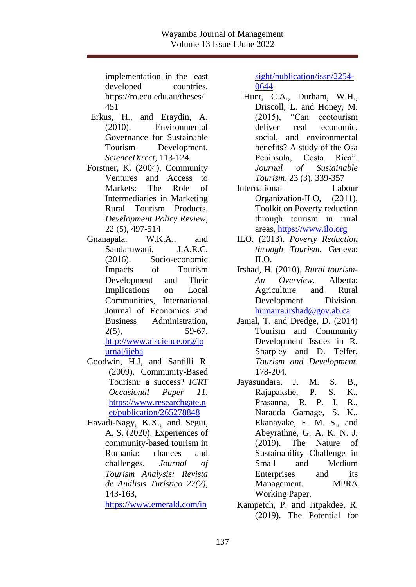implementation in the least developed countries. https://ro.ecu.edu.au/theses/ 451

- Erkus, H., and Eraydin, A. (2010). Environmental Governance for Sustainable Tourism Development. *ScienceDirect*, 113-124.
- Forstner, K. (2004). Community Ventures and Access to Markets: The Role of Intermediaries in Marketing Rural Tourism Products, *Development Policy Review*, 22 (5), 497-514
- Gnanapala, W.K.A., and Sandaruwani, J.A.R.C. (2016). Socio-economic Impacts of Tourism Development and Their Implications on Local Communities, International Journal of Economics and Business Administration, 2(5), 59-67, [http://www.aiscience.org/jo](http://www.aiscience.org/journal/ijeba) [urnal/ijeba](http://www.aiscience.org/journal/ijeba)
- Goodwin, H.J, and Santilli R. (2009). Community-Based Tourism: a success? *ICRT Occasional Paper 11*, [https://www.researchgate.n](https://www.researchgate.net/publication/265278848_) [et/publication/265278848](https://www.researchgate.net/publication/265278848_)
- Havadi-Nagy, K.X., and Segui, A. S. (2020). Experiences of community-based tourism in Romania: chances and challenges, *Journal of Tourism Analysis: Revista de Análisis Turístico 27(2),* 143-163,

[https://www.emerald.com/in](https://www.emerald.com/insight/publication/issn/2254-0644)

[sight/publication/issn/2254-](https://www.emerald.com/insight/publication/issn/2254-0644) [0644](https://www.emerald.com/insight/publication/issn/2254-0644)

- Hunt, C.A., Durham, W.H., Driscoll, L. and Honey, M. (2015), "Can ecotourism deliver real economic, social, and environmental benefits? A study of the Osa Peninsula, Costa Rica", *Journal of Sustainable Tourism,* 23 (3), 339-357
- International Labour Organization-ILO, (2011), Toolkit on Poverty reduction through tourism in rural areas[, https://www.ilo.org](https://www.ilo.org/)
- ILO. (2013). *Poverty Reduction through Tourism.* Geneva:  $\overline{L}$
- Irshad, H. (2010). *Rural tourism-An Overview.* Alberta: Agriculture and Rural Development Division. [humaira.irshad@gov.ab.ca](mailto:humaira.irshad@gov.ab.ca)
- Jamal, T. and Dredge, D. (2014) Tourism and Community Development Issues in R. Sharpley and D. Telfer, *Tourism and Development.*  178-204.
- Jayasundara, J. M. S. B., Rajapakshe, P. S. K., Prasanna, R. P. I. R., Naradda Gamage, S. K., Ekanayake, E. M. S., and Abeyrathne, G. A. K. N. J. (2019). The Nature of Sustainability Challenge in Small and Medium Enterprises and its Management. MPRA Working Paper.
- Kampetch, P. and Jitpakdee, R. (2019). The Potential for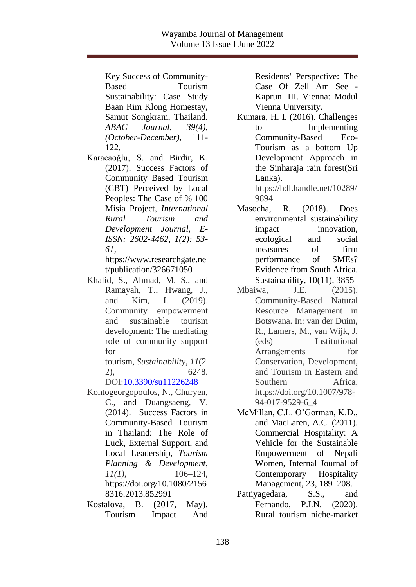Key Success of Community-Based Tourism Sustainability: Case Study Baan Rim Klong Homestay, Samut Songkram, Thailand. *ABAC Journal, 39(4), (October-December),* 111- 122.

Karacaoğlu, S. and Birdir, K. (2017). Success Factors of Community Based Tourism (CBT) Perceived by Local Peoples: The Case of % 100 Misia Project, *International Rural Tourism and Development Journal*, *E-ISSN: 2602-4462, 1(2): 53- 61,* 

https://www.researchgate.ne t/publication/326671050

Khalid, S., Ahmad, M. S., and Ramayah, T., Hwang, J., and Kim, I. (2019). Community empowerment and sustainable tourism development: The mediating role of community support for

tourism, *Sustainability*, *11*(2 2), 6248.

DOI[:10.3390/su11226248](http://dx.doi.org/10.3390/su11226248)

- Kontogeorgopoulos, N., Churyen, C., and Duangsaeng, V. (2014). Success Factors in Community-Based Tourism in Thailand: The Role of Luck, External Support, and Local Leadership, *Tourism Planning & Development, 11(1)*, 106–124, https://doi.org/10.1080/2156 8316.2013.852991
- Kostalova, B. (2017, May). Tourism Impact And

Residents' Perspective: The Case Of Zell Am See - Kaprun. III. Vienna: Modul Vienna University.

Kumara, H. I. (2016). Challenges to Implementing Community-Based Eco-Tourism as a bottom Up Development Approach in the Sinharaja rain forest(Sri Lanka).

https://hdl.handle.net/10289/ 9894

- Masocha, R. (2018). Does environmental sustainability impact innovation, ecological and social measures of firm performance of SMEs? Evidence from South Africa. Sustainability, 10(11), 3855
- Mbaiwa, J.E. (2015). Community-Based Natural Resource Management in Botswana. In: van der Duim, R., Lamers, M., van Wijk, J. (eds) Institutional Arrangements for Conservation, Development, and Tourism in Eastern and Southern Africa. https://doi.org/10.1007/978- 94-017-9529-6\_4
- McMillan, C.L. O'Gorman, K.D., and MacLaren, A.C. (2011). Commercial Hospitality: A Vehicle for the Sustainable Empowerment of Nepali Women, Internal Journal of Contemporary Hospitality Management, 23, 189–208.
- Pattiyagedara, S.S., and Fernando, P.I.N. (2020). Rural tourism niche-market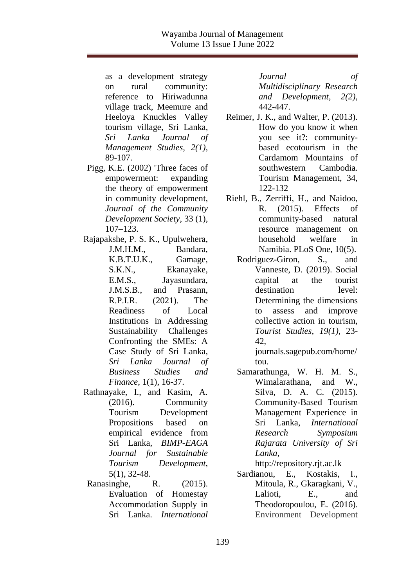as a development strategy on rural community: reference to Hiriwadunna village track, Meemure and Heeloya Knuckles Valley tourism village, Sri Lanka, *Sri Lanka Journal of Management Studies, 2(1)*, 89-107.

Pigg, K.E. (2002) 'Three faces of empowerment: expanding the theory of empowerment in community development, *Journal of the Community Development Society*, 33 (1), 107–123.

Rajapakshe, P. S. K., Upulwehera, J.M.H.M., Bandara, K.B.T.U.K., Gamage, S.K.N., Ekanayake, E.M.S., Jayasundara, J.M.S.B., and Prasann, R.P.I.R. (2021). The Readiness of Local Institutions in Addressing Sustainability Challenges Confronting the SMEs: A Case Study of Sri Lanka, *Sri Lanka Journal of Business Studies and Finance*, 1(1), 16-37.

- Rathnayake, I., and Kasim, A. (2016). Community Tourism Development Propositions based on empirical evidence from Sri Lanka, *BIMP-EAGA Journal for Sustainable Tourism Development*, 5(1), 32-48.
- Ranasinghe, R. (2015). Evaluation of Homestay Accommodation Supply in Sri Lanka. *International*

*Journal of Multidisciplinary Research and Development, 2(2),*  442-447.

- Reimer, J. K., and Walter, P. (2013). How do you know it when you see it?: communitybased ecotourism in the Cardamom Mountains of southwestern Cambodia. Tourism Management, 34, 122-132
- Riehl, B., Zerriffi, H., and Naidoo, R. (2015). Effects of community-based natural resource management on household welfare in Namibia. PLoS One, 10(5).
	- Rodriguez-Giron, S., and Vanneste, D. (2019). Social capital at the tourist destination level: Determining the dimensions to assess and improve collective action in tourism, *Tourist Studies, 19(1)*, 23- 42,

journals.sagepub.com/home/ tou.

Samarathunga, W. H. M. S., Wimalarathana, and W., Silva, D. A. C. (2015). Community-Based Tourism Management Experience in Sri Lanka, *International Research Symposium Rajarata University of Sri Lanka*, http://repository.rjt.ac.lk

Sardianou, E., Kostakis, I., Mitoula, R., Gkaragkani, V., Lalioti, E., and Theodoropoulou, E. (2016). Environment Development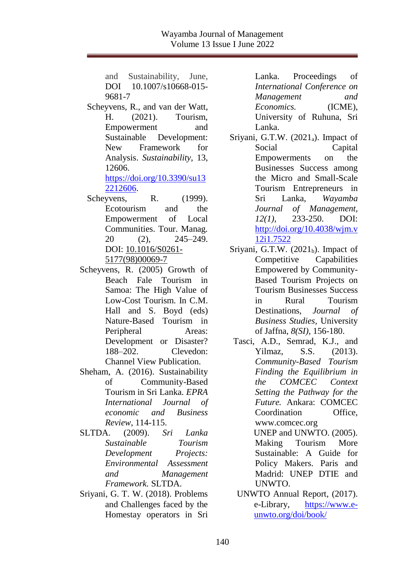and Sustainability, June, DOI 10.1007/s10668-015-9681-7

Scheyvens, R., and van der Watt, H. (2021). Tourism, Empowerment and Sustainable Development: New Framework for Analysis. *Sustainability,* 13, 12606. [https://doi.org/10.3390/su13](https://doi.org/10.3390/su132212606)

[2212606.](https://doi.org/10.3390/su132212606)

- Scheyvens, R. (1999). Ecotourism and the Empowerment of Local Communities. Tour. Manag. 20 (2), 245–249. DOI: [10.1016/S0261-](http://dx.doi.org/10.1016/S0261-5177(98)00069-7) [5177\(98\)00069-7](http://dx.doi.org/10.1016/S0261-5177(98)00069-7)
- Scheyvens, R. (2005) Growth of Beach Fale Tourism in Samoa: The High Value of Low-Cost Tourism. In C.M. Hall and S. Boyd (eds) Nature-Based Tourism in Peripheral Areas: Development or Disaster? 188–202. Clevedon: Channel View Publication.
- Sheham, A. (2016). Sustainability of Community-Based Tourism in Sri Lanka. *EPRA International Journal of economic and Business Review*, 114-115.
- SLTDA. (2009). *Sri Lanka Sustainable Tourism Development Projects: Environmental Assessment and Management Framework.* SLTDA.
- Sriyani, G. T. W. (2018). Problems and Challenges faced by the Homestay operators in Sri

Lanka. Proceedings of *International Conference on Management and Economics.* (ICME), University of Ruhuna, Sri Lanka.

- Sriyani, G.T.W.  $(2021_a)$ . Impact of Social Capital Empowerments on the Businesses Success among the Micro and Small-Scale Tourism Entrepreneurs in Sri Lanka, *Wayamba Journal of Management, 12(1),* 233-250. DOI: [http://doi.org/10.4038/wjm.v](http://doi.org/10.4038/wjm.v12i1.7522) [12i1.7522](http://doi.org/10.4038/wjm.v12i1.7522)
- Sriyani, G.T.W.  $(2021<sub>b</sub>)$ . Impact of Competitive Capabilities Empowered by Community-Based Tourism Projects on Tourism Businesses Success in Rural Tourism Destinations, *Journal of Business Studies,* University of Jaffna, *8(SI),* 156-180.
	- Tasci, A.D., Semrad, K.J., and Yilmaz, S.S. (2013). *Community-Based Tourism Finding the Equilibrium in the COMCEC Context Setting the Pathway for the Future.* Ankara: COMCEC Coordination Office, www.comcec.org UNEP and UNWTO. (2005). Making Tourism More

Sustainable: A Guide for Policy Makers. Paris and Madrid: UNEP DTIE and UNWTO.

UNWTO Annual Report, (2017). e-Library, [https://www.e](https://www.e-unwto.org/doi/book/)[unwto.org/doi/book/](https://www.e-unwto.org/doi/book/)